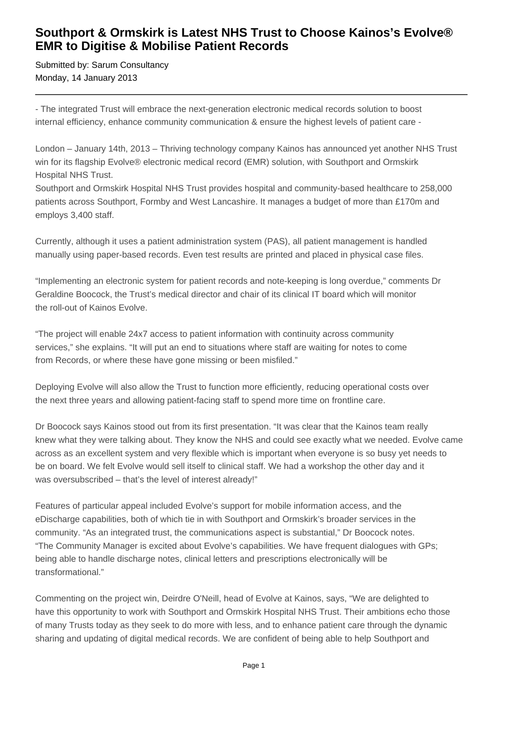## **Southport & Ormskirk is Latest NHS Trust to Choose Kainos's Evolve® EMR to Digitise & Mobilise Patient Records**

Submitted by: Sarum Consultancy Monday, 14 January 2013

- The integrated Trust will embrace the next-generation electronic medical records solution to boost internal efficiency, enhance community communication & ensure the highest levels of patient care -

London – January 14th, 2013 – Thriving technology company Kainos has announced yet another NHS Trust win for its flagship Evolve® electronic medical record (EMR) solution, with Southport and Ormskirk Hospital NHS Trust.

Southport and Ormskirk Hospital NHS Trust provides hospital and community-based healthcare to 258,000 patients across Southport, Formby and West Lancashire. It manages a budget of more than £170m and employs 3,400 staff.

Currently, although it uses a patient administration system (PAS), all patient management is handled manually using paper-based records. Even test results are printed and placed in physical case files.

"Implementing an electronic system for patient records and note-keeping is long overdue," comments Dr Geraldine Boocock, the Trust's medical director and chair of its clinical IT board which will monitor the roll-out of Kainos Evolve.

"The project will enable 24x7 access to patient information with continuity across community services," she explains. "It will put an end to situations where staff are waiting for notes to come from Records, or where these have gone missing or been misfiled."

Deploying Evolve will also allow the Trust to function more efficiently, reducing operational costs over the next three years and allowing patient-facing staff to spend more time on frontline care.

Dr Boocock says Kainos stood out from its first presentation. "It was clear that the Kainos team really knew what they were talking about. They know the NHS and could see exactly what we needed. Evolve came across as an excellent system and very flexible which is important when everyone is so busy yet needs to be on board. We felt Evolve would sell itself to clinical staff. We had a workshop the other day and it was oversubscribed – that's the level of interest already!"

Features of particular appeal included Evolve's support for mobile information access, and the eDischarge capabilities, both of which tie in with Southport and Ormskirk's broader services in the community. "As an integrated trust, the communications aspect is substantial," Dr Boocock notes. "The Community Manager is excited about Evolve's capabilities. We have frequent dialogues with GPs; being able to handle discharge notes, clinical letters and prescriptions electronically will be transformational."

Commenting on the project win, Deirdre O'Neill, head of Evolve at Kainos, says, "We are delighted to have this opportunity to work with Southport and Ormskirk Hospital NHS Trust. Their ambitions echo those of many Trusts today as they seek to do more with less, and to enhance patient care through the dynamic sharing and updating of digital medical records. We are confident of being able to help Southport and